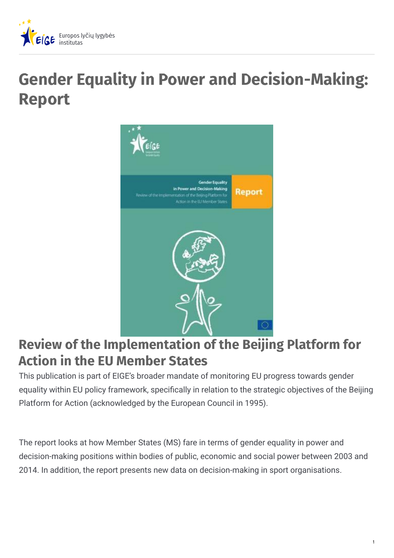

## **Gender Equality in Power and Decision-Making: Report**



## **Review of the Implementation of the Beijing Platform for Action in the EU Member States**

This publication is part of EIGE's broader mandate of monitoring EU progress towards gender equality within EU policy framework, specifically in relation to the strategic objectives of the Beijing Platform for Action (acknowledged by the European Council in 1995).

The report looks at how Member States (MS) fare in terms of gender equality in power and decision-making positions within bodies of public, economic and social power between 2003 and 2014. In addition, the report presents new data on decision-making in sport organisations.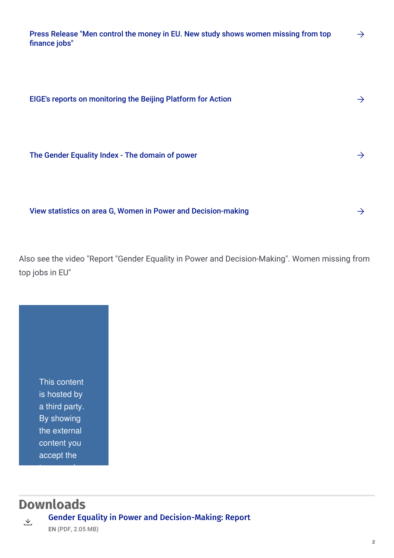|               | Press Release "Men control the money in EU. New study shows women missing from top |  |
|---------------|------------------------------------------------------------------------------------|--|
| finance jobs" |                                                                                    |  |

| EIGE's reports on monitoring the Beijing Platform for Action  |  |  |
|---------------------------------------------------------------|--|--|
|                                                               |  |  |
| The Gender Equality Index - The domain of power               |  |  |
|                                                               |  |  |
| View statistics on area G, Women in Power and Decision-making |  |  |

Also see the video "Report "Gender Equality in Power and Decision-Making". Women missing from top jobs in EU"

Decisionis hosted by This content a third party. By showing the external content you accept the

## **Downloads**

terms and the second second second second second second second second second second second second second second second second second second second second second second second second second second second second second secon

Gender Equality in Power and [Decision-Making:](https://eige.europa.eu/sites/default/files/documents/mh0215090enn.pdf) Report 上

**EN** (PDF, 2.05 MB)

 $\rightarrow$